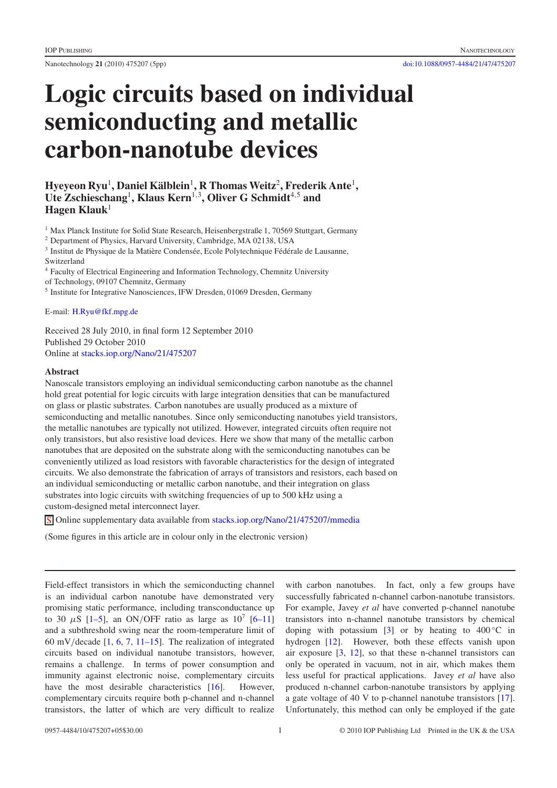Nanotechnology **21** (2010) 475207 (5pp) [doi:10.1088/0957-4484/21/47/475207](http://dx.doi.org/10.1088/0957-4484/21/47/475207)

# **Logic circuits based on individual semiconducting and metallic carbon-nanotube devices**

### $\mathbf{H}$ yeyeon Ryu<sup>1</sup>, Daniel Kälblein $^1$ , R Thomas Weitz $^2$ , Frederik Ante $^1$ , **Ute Zschieschang**<sup>1</sup> **, Klaus Kern**<sup>1</sup>,<sup>3</sup> **, Oliver G Schmidt**<sup>4</sup>,<sup>5</sup> **and Hagen Klauk**<sup>1</sup>

<sup>1</sup> Max Planck Institute for Solid State Research, Heisenbergstraße 1, 70569 Stuttgart, Germany

<sup>2</sup> Department of Physics, Harvard University, Cambridge, MA 02138, USA

<sup>3</sup> Institut de Physique de la Matière Condensée, Ecole Polytechnique Fédérale de Lausanne, Switzerland

<sup>4</sup> Faculty of Electrical Engineering and Information Technology, Chemnitz University

of Technology, 09107 Chemnitz, Germany

<sup>5</sup> Institute for Integrative Nanosciences, IFW Dresden, 01069 Dresden, Germany

E-mail: [H.Ryu@fkf.mpg.de](mailto:H.Ryu@fkf.mpg.de)

Received 28 July 2010, in final form 12 September 2010 Published 29 October 2010 Online at [stacks.iop.org/Nano/21/475207](http://stacks.iop.org/Nano/21/475207)

### **Abstract**

Nanoscale transistors employing an individual semiconducting carbon nanotube as the channel hold great potential for logic circuits with large integration densities that can be manufactured on glass or plastic substrates. Carbon nanotubes are usually produced as a mixture of semiconducting and metallic nanotubes. Since only semiconducting nanotubes yield transistors, the metallic nanotubes are typically not utilized. However, integrated circuits often require not only transistors, but also resistive load devices. Here we show that many of the metallic carbon nanotubes that are deposited on the substrate along with the semiconducting nanotubes can be conveniently utilized as load resistors with favorable characteristics for the design of integrated circuits. We also demonstrate the fabrication of arrays of transistors and resistors, each based on an individual semiconducting or metallic carbon nanotube, and their integration on glass substrates into logic circuits with switching frequencies of up to 500 kHz using a custom-designed metal interconnect layer.

S Online supplementary data available from [stacks.iop.org/Nano/21/475207/mmedia](http://stacks.iop.org/Nano/21/475207/mmedia)

(Some figures in this article are in colour only in the electronic version)

Field-effect transistors in which the semiconducting channel is an individual carbon nanotube have demonstrated very promising static performance, including transconductance up to 30 μS [\[1–5\]](#page-4-0), an ON/OFF ratio as large as  $10^7$  [\[6–11\]](#page-4-1) and a subthreshold swing near the room-temperature limit of 60 mV/decade [\[1,](#page-4-0) [6,](#page-4-1) [7,](#page-4-2) [11–15\]](#page-4-3). The realization of integrated circuits based on individual nanotube transistors, however, remains a challenge. In terms of power consumption and immunity against electronic noise, complementary circuits have the most desirable characteristics [\[16\]](#page-4-4). However, complementary circuits require both p-channel and n-channel transistors, the latter of which are very difficult to realize

with carbon nanotubes. In fact, only a few groups have successfully fabricated n-channel carbon-nanotube transistors. For example, Javey *et al* have converted p-channel nanotube transistors into n-channel nanotube transistors by chemical doping with potassium  $\begin{bmatrix} 3 \end{bmatrix}$  or by heating to 400 °C in hydrogen [\[12\]](#page-4-6). However, both these effects vanish upon air exposure [\[3,](#page-4-5) [12\]](#page-4-6), so that these n-channel transistors can only be operated in vacuum, not in air, which makes them less useful for practical applications. Javey *et al* have also produced n-channel carbon-nanotube transistors by applying a gate voltage of 40 V to p-channel nanotube transistors [\[17\]](#page-4-7). Unfortunately, this method can only be employed if the gate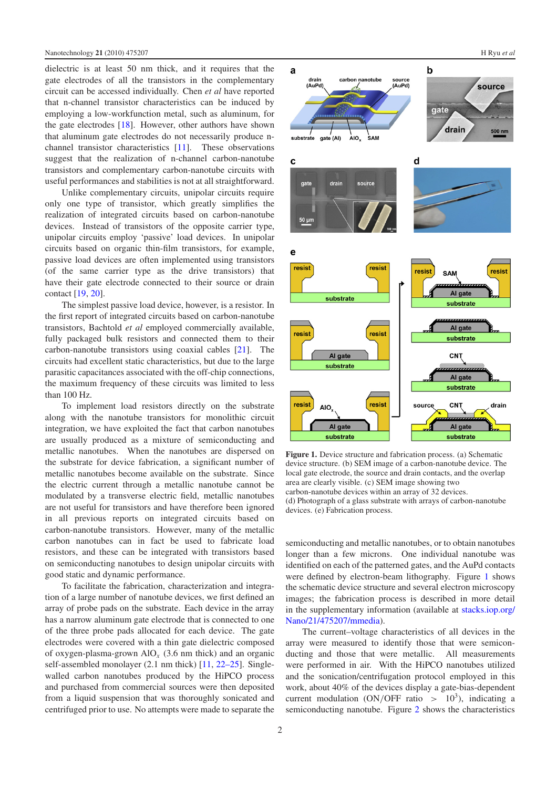dielectric is at least 50 nm thick, and it requires that the gate electrodes of all the transistors in the complementary circuit can be accessed individually. Chen *et al* have reported that n-channel transistor characteristics can be induced by employing a low-workfunction metal, such as aluminum, for the gate electrodes [\[18\]](#page-4-8). However, other authors have shown that aluminum gate electrodes do not necessarily produce nchannel transistor characteristics [\[11\]](#page-4-3). These observations suggest that the realization of n-channel carbon-nanotube transistors and complementary carbon-nanotube circuits with useful performances and stabilities is not at all straightforward.

Unlike complementary circuits, unipolar circuits require only one type of transistor, which greatly simplifies the realization of integrated circuits based on carbon-nanotube devices. Instead of transistors of the opposite carrier type, unipolar circuits employ 'passive' load devices. In unipolar circuits based on organic thin-film transistors, for example, passive load devices are often implemented using transistors (of the same carrier type as the drive transistors) that have their gate electrode connected to their source or drain contact [\[19,](#page-4-9) [20\]](#page-4-10).

The simplest passive load device, however, is a resistor. In the first report of integrated circuits based on carbon-nanotube transistors, Bachtold *et al* employed commercially available, fully packaged bulk resistors and connected them to their carbon-nanotube transistors using coaxial cables [\[21\]](#page-4-11). The circuits had excellent static characteristics, but due to the large parasitic capacitances associated with the off-chip connections, the maximum frequency of these circuits was limited to less than 100 Hz.

To implement load resistors directly on the substrate along with the nanotube transistors for monolithic circuit integration, we have exploited the fact that carbon nanotubes are usually produced as a mixture of semiconducting and metallic nanotubes. When the nanotubes are dispersed on the substrate for device fabrication, a significant number of metallic nanotubes become available on the substrate. Since the electric current through a metallic nanotube cannot be modulated by a transverse electric field, metallic nanotubes are not useful for transistors and have therefore been ignored in all previous reports on integrated circuits based on carbon-nanotube transistors. However, many of the metallic carbon nanotubes can in fact be used to fabricate load resistors, and these can be integrated with transistors based on semiconducting nanotubes to design unipolar circuits with good static and dynamic performance.

To facilitate the fabrication, characterization and integration of a large number of nanotube devices, we first defined an array of probe pads on the substrate. Each device in the array has a narrow aluminum gate electrode that is connected to one of the three probe pads allocated for each device. The gate electrodes were covered with a thin gate dielectric composed of oxygen-plasma-grown AlO*<sup>x</sup>* (3.6 nm thick) and an organic self-assembled monolayer (2.1 nm thick) [\[11,](#page-4-3) [22–25\]](#page-4-12). Singlewalled carbon nanotubes produced by the HiPCO process and purchased from commercial sources were then deposited from a liquid suspension that was thoroughly sonicated and centrifuged prior to use. No attempts were made to separate the

<span id="page-1-0"></span>

**Figure 1.** Device structure and fabrication process. (a) Schematic device structure. (b) SEM image of a carbon-nanotube device. The local gate electrode, the source and drain contacts, and the overlap area are clearly visible. (c) SEM image showing two carbon-nanotube devices within an array of 32 devices. (d) Photograph of a glass substrate with arrays of carbon-nanotube devices. (e) Fabrication process.

semiconducting and metallic nanotubes, or to obtain nanotubes longer than a few microns. One individual nanotube was identified on each of the patterned gates, and the AuPd contacts were defined by electron-beam lithography. Figure [1](#page-1-0) shows the schematic device structure and several electron microscopy images; the fabrication process is described in more detail in the supplementary information (available at stacks.iop.org/ Nano/21/475207/mmedia).

The current–voltage characteristics of all devices in the array were measured to identify those that were semiconducting and those that were metallic. All measurements were performed in air. With the HiPCO nanotubes utilized and the sonication/centrifugation protocol employed in this work, about 40% of the devices display a gate-bias-dependent current modulation (ON/OFF ratio  $> 10<sup>3</sup>$ ), indicating a semiconducting nanotube. Figure [2](#page-2-0) shows the characteristics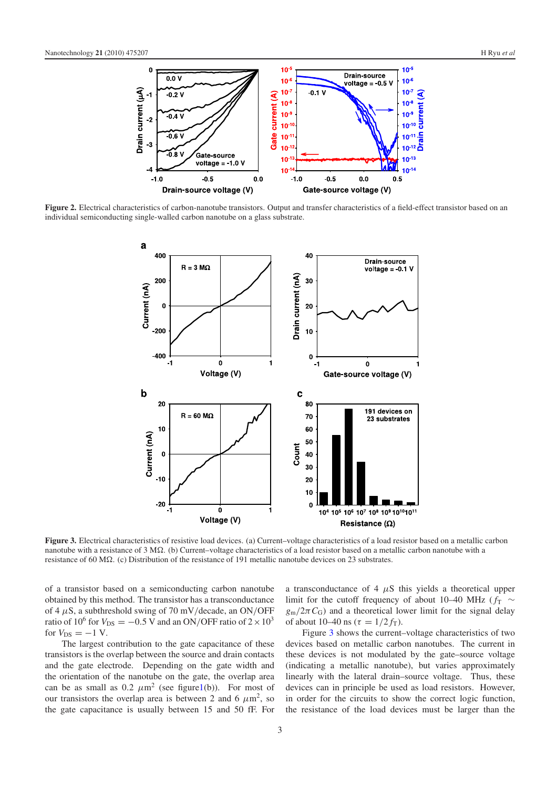<span id="page-2-0"></span>

<span id="page-2-1"></span>**Figure 2.** Electrical characteristics of carbon-nanotube transistors. Output and transfer characteristics of a field-effect transistor based on an individual semiconducting single-walled carbon nanotube on a glass substrate.



**Figure 3.** Electrical characteristics of resistive load devices. (a) Current–voltage characteristics of a load resistor based on a metallic carbon nanotube with a resistance of  $3 M\Omega$ . (b) Current–voltage characteristics of a load resistor based on a metallic carbon nanotube with a resistance of  $60 \text{ M}\Omega$ . (c) Distribution of the resistance of 191 metallic nanotube devices on 23 substrates.

of a transistor based on a semiconducting carbon nanotube obtained by this method. The transistor has a transconductance of 4  $\mu$ S, a subthreshold swing of 70 mV/decade, an ON/OFF ratio of 10<sup>6</sup> for  $V_{DS} = -0.5$  V and an ON/OFF ratio of  $2 \times 10^3$ for  $V_{DS} = -1$  V.

The largest contribution to the gate capacitance of these transistors is the overlap between the source and drain contacts and the gate electrode. Depending on the gate width and the orientation of the nanotube on the gate, the overlap area can be as small as  $0.2 \mu m^2$  (see figur[e1\(](#page-1-0)b)). For most of our transistors the overlap area is between 2 and 6  $\mu$ m<sup>2</sup>, so the gate capacitance is usually between 15 and 50 fF. For a transconductance of 4  $\mu$ S this yields a theoretical upper limit for the cutoff frequency of about 10–40 MHz ( $f<sub>T</sub>$  ∼  $g_{\rm m}/2\pi C_{\rm G}$ ) and a theoretical lower limit for the signal delay of about 10–40 ns ( $\tau = 1/2 f_T$ ).

Figure [3](#page-2-1) shows the current–voltage characteristics of two devices based on metallic carbon nanotubes. The current in these devices is not modulated by the gate–source voltage (indicating a metallic nanotube), but varies approximately linearly with the lateral drain–source voltage. Thus, these devices can in principle be used as load resistors. However, in order for the circuits to show the correct logic function, the resistance of the load devices must be larger than the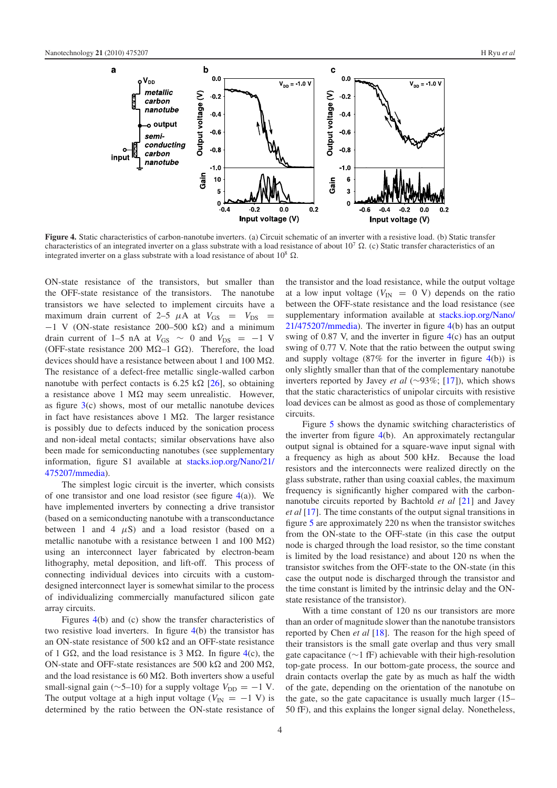<span id="page-3-0"></span>

**Figure 4.** Static characteristics of carbon-nanotube inverters. (a) Circuit schematic of an inverter with a resistive load. (b) Static transfer characteristics of an integrated inverter on a glass substrate with a load resistance of about  $10^7 \Omega$ . (c) Static transfer characteristics of an integrated inverter on a glass substrate with a load resistance of about  $10^8$   $\Omega$ .

ON-state resistance of the transistors, but smaller than the OFF-state resistance of the transistors. The nanotube transistors we have selected to implement circuits have a maximum drain current of 2–5  $\mu$ A at  $V_{GS}$  =  $V_{DS}$  =  $-1$  V (ON-state resistance 200–500 k $\Omega$ ) and a minimum drain current of 1–5 nA at  $V_{GS} \sim 0$  and  $V_{DS} = -1$  V (OFF-state resistance 200 M $\Omega$ -1 G $\Omega$ ). Therefore, the load devices should have a resistance between about 1 and 100 M $\Omega$ . The resistance of a defect-free metallic single-walled carbon nanotube with perfect contacts is 6.25 k $\Omega$  [\[26\]](#page-4-13), so obtaining a resistance above 1  $M\Omega$  may seem unrealistic. However, as figure  $3(c)$  $3(c)$  shows, most of our metallic nanotube devices in fact have resistances above  $1 \text{ M}\Omega$ . The larger resistance is possibly due to defects induced by the sonication process and non-ideal metal contacts; similar observations have also been made for semiconducting nanotubes (see supplementary information, figure S1 available at stacks.iop.org/Nano/21/ 475207/mmedia).

The simplest logic circuit is the inverter, which consists of one transistor and one load resistor (see figure  $4(a)$  $4(a)$ ). We have implemented inverters by connecting a drive transistor (based on a semiconducting nanotube with a transconductance between 1 and 4  $\mu$ S) and a load resistor (based on a metallic nanotube with a resistance between 1 and 100  $M\Omega$ ) using an interconnect layer fabricated by electron-beam lithography, metal deposition, and lift-off. This process of connecting individual devices into circuits with a customdesigned interconnect layer is somewhat similar to the process of individualizing commercially manufactured silicon gate array circuits.

Figures [4\(](#page-3-0)b) and (c) show the transfer characteristics of two resistive load inverters. In figure [4\(](#page-3-0)b) the transistor has an ON-state resistance of 500 k $\Omega$  and an OFF-state resistance of 1 G $\Omega$ , and the load resistance is 3 M $\Omega$ . In figure [4\(](#page-3-0)c), the ON-state and OFF-state resistances are 500 k $\Omega$  and 200 M $\Omega$ , and the load resistance is  $60 \text{ M}\Omega$ . Both inverters show a useful small-signal gain ( $\sim$ 5–10) for a supply voltage  $V_{\text{DD}} = -1$  V. The output voltage at a high input voltage ( $V_{\text{IN}} = -1$  V) is determined by the ratio between the ON-state resistance of

the transistor and the load resistance, while the output voltage at a low input voltage  $(V_{\text{IN}} = 0 \text{ V})$  depends on the ratio between the OFF-state resistance and the load resistance (see supplementary information available at stacks.iop.org/Nano/ 21/475207/mmedia[\).](http://stacks.iop.org/Nano/21/475207/mmedia) [The](http://stacks.iop.org/Nano/21/475207/mmedia) [inverter](http://stacks.iop.org/Nano/21/475207/mmedia) [in](http://stacks.iop.org/Nano/21/475207/mmedia) [figur](http://stacks.iop.org/Nano/21/475207/mmedia)e [4\(](#page-3-0)b) has an output swing of 0.87 V, and the inverter in figure  $4(c)$  $4(c)$  has an output swing of 0.77 V. Note that the ratio between the output swing and supply voltage  $(87\%$  for the inverter in figure  $4(b)$  $4(b)$ ) is only slightly smaller than that of the complementary nanotube inverters reported by Javey *et al* (∼93%; [\[17\]](#page-4-7)), which shows that the static characteristics of unipolar circuits with resistive load devices can be almost as good as those of complementary circuits.

Figure [5](#page-4-14) shows the dynamic switching characteristics of the inverter from figure [4\(](#page-3-0)b). An approximately rectangular output signal is obtained for a square-wave input signal with a frequency as high as about 500 kHz. Because the load resistors and the interconnects were realized directly on the glass substrate, rather than using coaxial cables, the maximum frequency is significantly higher compared with the carbonnanotube circuits reported by Bachtold *et al* [\[21\]](#page-4-11) and Javey *et al* [\[17\]](#page-4-7). The time constants of the output signal transitions in figure [5](#page-4-14) are approximately 220 ns when the transistor switches from the ON-state to the OFF-state (in this case the output node is charged through the load resistor, so the time constant is limited by the load resistance) and about 120 ns when the transistor switches from the OFF-state to the ON-state (in this case the output node is discharged through the transistor and the time constant is limited by the intrinsic delay and the ONstate resistance of the transistor).

With a time constant of 120 ns our transistors are more than an order of magnitude slower than the nanotube transistors reported by Chen *et al* [\[18\]](#page-4-8). The reason for the high speed of their transistors is the small gate overlap and thus very small gate capacitance (∼1 fF) achievable with their high-resolution top-gate process. In our bottom-gate process, the source and drain contacts overlap the gate by as much as half the width of the gate, depending on the orientation of the nanotube on the gate, so the gate capacitance is usually much larger (15– 50 fF), and this explains the longer signal delay. Nonetheless,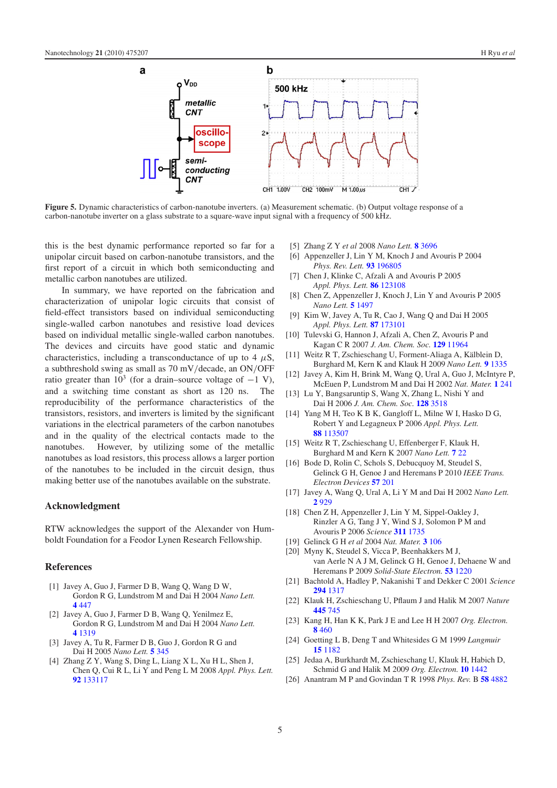<span id="page-4-14"></span>

**Figure 5.** Dynamic characteristics of carbon-nanotube inverters. (a) Measurement schematic. (b) Output voltage response of a carbon-nanotube inverter on a glass substrate to a square-wave input signal with a frequency of 500 kHz.

this is the best dynamic performance reported so far for a unipolar circuit based on carbon-nanotube transistors, and the first report of a circuit in which both semiconducting and metallic carbon nanotubes are utilized.

In summary, we have reported on the fabrication and characterization of unipolar logic circuits that consist of field-effect transistors based on individual semiconducting single-walled carbon nanotubes and resistive load devices based on individual metallic single-walled carbon nanotubes. The devices and circuits have good static and dynamic characteristics, including a transconductance of up to 4  $\mu$ S, a subthreshold swing as small as 70 mV/decade, an ON/OFF ratio greater than  $10^3$  (for a drain–source voltage of  $-1$  V), and a switching time constant as short as 120 ns. The reproducibility of the performance characteristics of the transistors, resistors, and inverters is limited by the significant variations in the electrical parameters of the carbon nanotubes and in the quality of the electrical contacts made to the nanotubes. However, by utilizing some of the metallic nanotubes as load resistors, this process allows a larger portion of the nanotubes to be included in the circuit design, thus making better use of the nanotubes available on the substrate.

### **Acknowledgment**

<span id="page-4-0"></span>RTW acknowledges the support of the Alexander von Humboldt Foundation for a Feodor Lynen Research Fellowship.

#### <span id="page-4-5"></span>**References**

- [1] Javey A, Guo J, Farmer D B, Wang Q, Wang D W, Gordon R G, Lundstrom M and Dai H 2004 *Nano Lett.* **4** [447](http://dx.doi.org/10.1021/nl035185x)
- [2] Javey A, Guo J, Farmer D B, Wang Q, Yenilmez E, Gordon R G, Lundstrom M and Dai H 2004 *Nano Lett.* **4** [1319](http://dx.doi.org/10.1021/nl049222b)
- [3] Javey A, Tu R, Farmer D B, Guo J, Gordon R G and Dai H 2005 *Nano Lett.* **5** [345](http://dx.doi.org/10.1021/nl047931j)
- [4] Zhang Z Y, Wang S, Ding L, Liang X L, Xu H L, Shen J, Chen Q, Cui R L, Li Y and Peng L M 2008 *Appl. Phys. Lett.* **92** [133117](http://dx.doi.org/10.1063/1.2907696)
- <span id="page-4-2"></span><span id="page-4-1"></span>[5] Zhang Z Y *et al* 2008 *Nano Lett.* **8** [3696](http://dx.doi.org/10.1021/nl8018802)
- [6] Appenzeller J, Lin Y M, Knoch J and Avouris P 2004 *Phys. Rev. Lett.* **93** [196805](http://dx.doi.org/10.1103/PhysRevLett.93.196805)
- [7] Chen J, Klinke C, Afzali A and Avouris P 2005 *Appl. Phys. Lett.* **86** [123108](http://dx.doi.org/10.1063/1.1888054)
- <span id="page-4-3"></span>[8] Chen Z, Appenzeller J, Knoch J, Lin Y and Avouris P 2005 *Nano Lett.* **5** [1497](http://dx.doi.org/10.1021/nl0508624)
- <span id="page-4-6"></span>[9] Kim W, Javey A, Tu R, Cao J, Wang Q and Dai H 2005 *Appl. Phys. Lett.* **87** [173101](http://dx.doi.org/10.1063/1.2108127)
- [10] Tulevski G, Hannon J, Afzali A, Chen Z, Avouris P and Kagan C R 2007 *J. Am. Chem. Soc.* **129** [11964](http://dx.doi.org/10.1021/ja073647t)
- [11] Weitz R T, Zschieschang U, Forment-Aliaga A, Kälblein D, Burghard M, Kern K and Klauk H 2009 *Nano Lett.* **9** [1335](http://dx.doi.org/10.1021/nl802982m)
- [12] Javey A, Kim H, Brink M, Wang Q, Ural A, Guo J, McIntyre P, McEuen P, Lundstrom M and Dai H 2002 *Nat. Mater.* **1** [241](http://dx.doi.org/10.1038/nmat769)
- <span id="page-4-4"></span>[13] Lu Y, Bangsaruntip S, Wang X, Zhang L, Nishi Y and Dai H 2006 *J. Am. Chem. Soc.* **128** [3518](http://dx.doi.org/10.1021/ja058836v)
- <span id="page-4-7"></span>[14] Yang M H, Teo K B K, Gangloff L, Milne W I, Hasko D G, Robert Y and Legagneux P 2006 *Appl. Phys. Lett.* **88** [113507](http://dx.doi.org/10.1063/1.2186100)
- <span id="page-4-8"></span>[15] Weitz R T, Zschieschang U, Effenberger F, Klauk H, Burghard M and Kern K 2007 *Nano Lett.* **7** [22](http://dx.doi.org/10.1021/nl061534m)
- <span id="page-4-9"></span>[16] Bode D, Rolin C, Schols S, Debucquoy M, Steudel S, Gelinck G H, Genoe J and Heremans P 2010 *IEEE Trans. Electron Devices* **57** [201](http://dx.doi.org/10.1109/TED.2009.2035546)
- <span id="page-4-10"></span>[17] Javey A, Wang Q, Ural A, Li Y M and Dai H 2002 *Nano Lett.* **2** [929](http://dx.doi.org/10.1021/nl025647r)
- <span id="page-4-11"></span>[18] Chen Z H, Appenzeller J, Lin Y M, Sippel-Oakley J, Rinzler A G, Tang J Y, Wind S J, Solomon P M and Avouris P 2006 *Science* **311** [1735](http://dx.doi.org/10.1126/science.1122797)
- <span id="page-4-12"></span>[19] Gelinck G H *et al* 2004 *Nat. Mater.* **3** [106](http://dx.doi.org/10.1038/nmat1061)
- [20] Myny K, Steudel S, Vicca P, Beenhakkers M J, van Aerle N A J M, Gelinck G H, Genoe J, Dehaene W and Heremans P 2009 *Solid-State Electron.* **53** [1220](http://dx.doi.org/10.1016/j.sse.2009.10.010)
- [21] Bachtold A, Hadley P, Nakanishi T and Dekker C 2001 *Science* **294** [1317](http://dx.doi.org/10.1126/science.1065824)
- [22] Klauk H, Zschieschang U, Pflaum J and Halik M 2007 *Nature* **[445](http://dx.doi.org/10.1038/nature05533)** 745
- <span id="page-4-13"></span>[23] Kang H, Han K K, Park J E and Lee H H 2007 *Org. Electron.* **8** [460](http://dx.doi.org/10.1016/j.orgel.2007.03.004)
- [24] Goetting L B, Deng T and Whitesides G M 1999 *Langmuir* **15** [1182](http://dx.doi.org/10.1021/la981094h)
- [25] Jedaa A, Burkhardt M, Zschieschang U, Klauk H, Habich D, Schmid G and Halik M 2009 *Org. Electron.* **10** [1442](http://dx.doi.org/10.1016/j.orgel.2009.08.006)
- [26] Anantram M P and Govindan T R 1998 *Phys. Rev.* B **58** [4882](http://dx.doi.org/10.1103/PhysRevB.58.4882)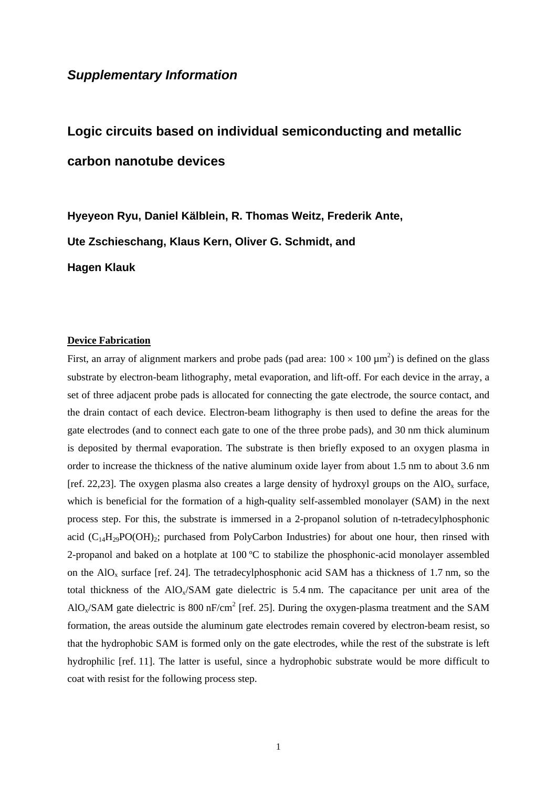## *Supplementary Information*

# **Logic circuits based on individual semiconducting and metallic carbon nanotube devices**

**Hyeyeon Ryu, Daniel Kälblein, R. Thomas Weitz, Frederik Ante,** 

**Ute Zschieschang, Klaus Kern, Oliver G. Schmidt, and** 

**Hagen Klauk** 

### **Device Fabrication**

First, an array of alignment markers and probe pads (pad area:  $100 \times 100 \mu m^2$ ) is defined on the glass substrate by electron-beam lithography, metal evaporation, and lift-off. For each device in the array, a set of three adjacent probe pads is allocated for connecting the gate electrode, the source contact, and the drain contact of each device. Electron-beam lithography is then used to define the areas for the gate electrodes (and to connect each gate to one of the three probe pads), and 30 nm thick aluminum is deposited by thermal evaporation. The substrate is then briefly exposed to an oxygen plasma in order to increase the thickness of the native aluminum oxide layer from about 1.5 nm to about 3.6 nm [ref. 22,23]. The oxygen plasma also creates a large density of hydroxyl groups on the  $AIO<sub>x</sub>$  surface, which is beneficial for the formation of a high-quality self-assembled monolayer (SAM) in the next process step. For this, the substrate is immersed in a 2-propanol solution of n-tetradecylphosphonic acid  $(C_{14}H_{29}PO(OH)_2$ ; purchased from PolyCarbon Industries) for about one hour, then rinsed with 2-propanol and baked on a hotplate at 100 ºC to stabilize the phosphonic-acid monolayer assembled on the  $AIO<sub>x</sub>$  surface [ref. 24]. The tetradecylphosphonic acid SAM has a thickness of 1.7 nm, so the total thickness of the  $AIO_x/SAM$  gate dielectric is 5.4 nm. The capacitance per unit area of the AlO<sub>x</sub>/SAM gate dielectric is 800 nF/cm<sup>2</sup> [ref. 25]. During the oxygen-plasma treatment and the SAM formation, the areas outside the aluminum gate electrodes remain covered by electron-beam resist, so that the hydrophobic SAM is formed only on the gate electrodes, while the rest of the substrate is left hydrophilic [ref. 11]. The latter is useful, since a hydrophobic substrate would be more difficult to coat with resist for the following process step.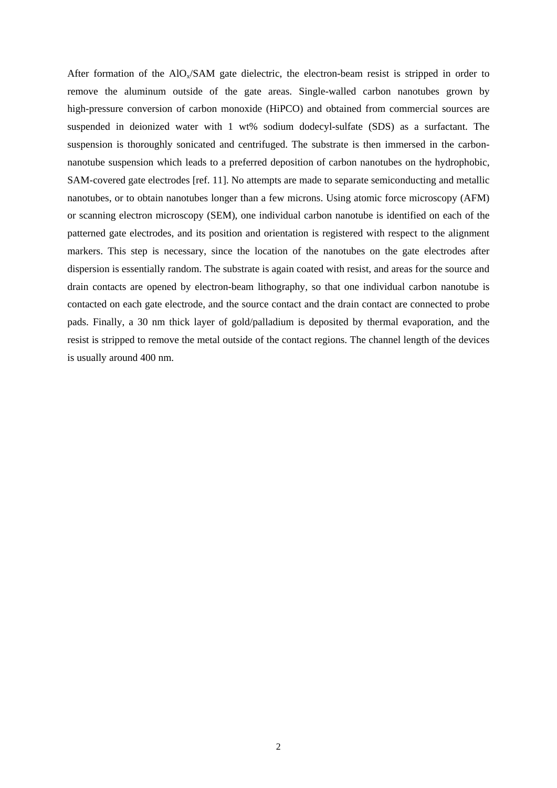After formation of the  $AIO_x/SAM$  gate dielectric, the electron-beam resist is stripped in order to remove the aluminum outside of the gate areas. Single-walled carbon nanotubes grown by high-pressure conversion of carbon monoxide (HiPCO) and obtained from commercial sources are suspended in deionized water with 1 wt% sodium dodecyl-sulfate (SDS) as a surfactant. The suspension is thoroughly sonicated and centrifuged. The substrate is then immersed in the carbonnanotube suspension which leads to a preferred deposition of carbon nanotubes on the hydrophobic, SAM-covered gate electrodes [ref. 11]. No attempts are made to separate semiconducting and metallic nanotubes, or to obtain nanotubes longer than a few microns. Using atomic force microscopy (AFM) or scanning electron microscopy (SEM), one individual carbon nanotube is identified on each of the patterned gate electrodes, and its position and orientation is registered with respect to the alignment markers. This step is necessary, since the location of the nanotubes on the gate electrodes after dispersion is essentially random. The substrate is again coated with resist, and areas for the source and drain contacts are opened by electron-beam lithography, so that one individual carbon nanotube is contacted on each gate electrode, and the source contact and the drain contact are connected to probe pads. Finally, a 30 nm thick layer of gold/palladium is deposited by thermal evaporation, and the resist is stripped to remove the metal outside of the contact regions. The channel length of the devices is usually around 400 nm.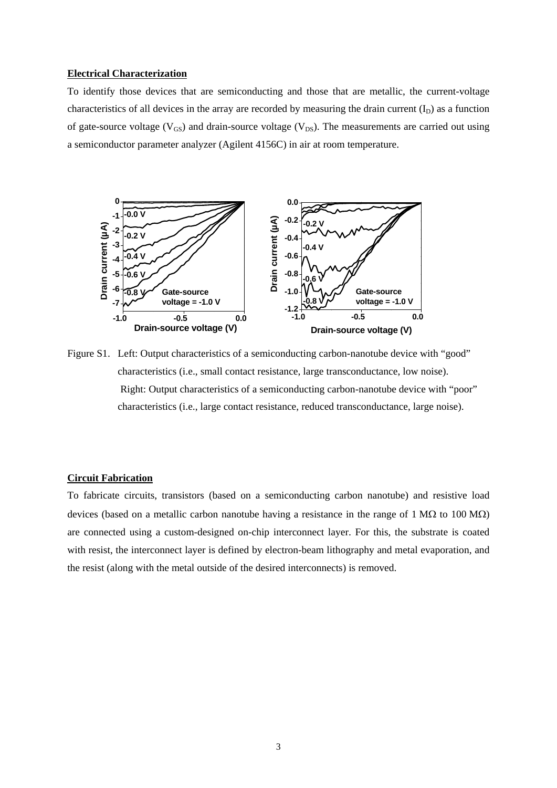### **Electrical Characterization**

To identify those devices that are semiconducting and those that are metallic, the current-voltage characteristics of all devices in the array are recorded by measuring the drain current  $(I_D)$  as a function of gate-source voltage  $(V_{GS})$  and drain-source voltage  $(V_{DS})$ . The measurements are carried out using a semiconductor parameter analyzer (Agilent 4156C) in air at room temperature.



Figure S1. Left: Output characteristics of a semiconducting carbon-nanotube device with "good" characteristics (i.e., small contact resistance, large transconductance, low noise). Right: Output characteristics of a semiconducting carbon-nanotube device with "poor" characteristics (i.e., large contact resistance, reduced transconductance, large noise).

### **Circuit Fabrication**

To fabricate circuits, transistors (based on a semiconducting carbon nanotube) and resistive load devices (based on a metallic carbon nanotube having a resistance in the range of  $1 M\Omega$  to  $100 M\Omega$ ) are connected using a custom-designed on-chip interconnect layer. For this, the substrate is coated with resist, the interconnect layer is defined by electron-beam lithography and metal evaporation, and the resist (along with the metal outside of the desired interconnects) is removed.